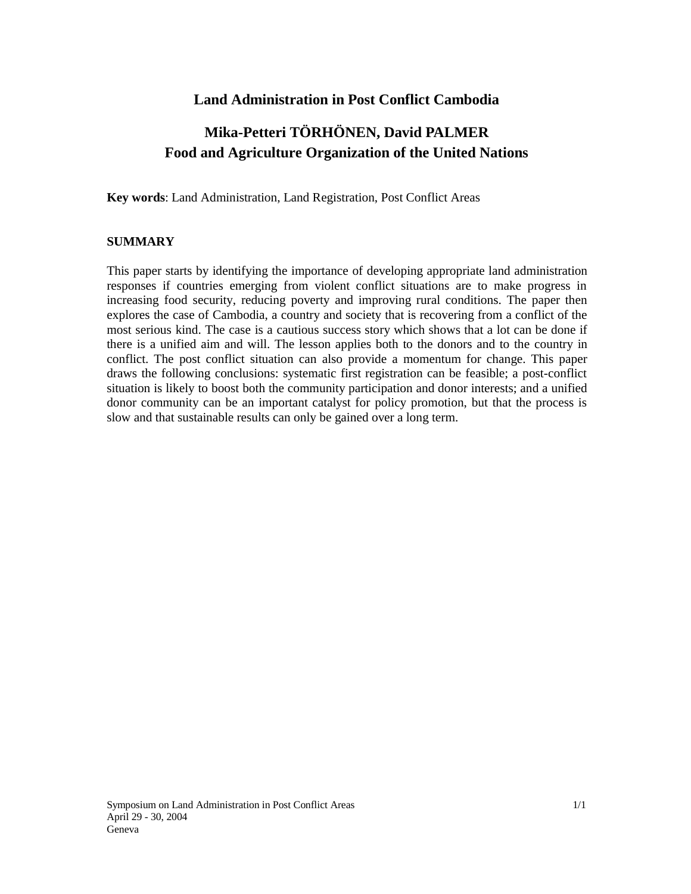# **Land Administration in Post Conflict Cambodia**

# **Mika-Petteri TÖRHÖNEN, David PALMER Food and Agriculture Organization of the United Nations**

**Key words**: Land Administration, Land Registration, Post Conflict Areas

## **SUMMARY**

This paper starts by identifying the importance of developing appropriate land administration responses if countries emerging from violent conflict situations are to make progress in increasing food security, reducing poverty and improving rural conditions. The paper then explores the case of Cambodia, a country and society that is recovering from a conflict of the most serious kind. The case is a cautious success story which shows that a lot can be done if there is a unified aim and will. The lesson applies both to the donors and to the country in conflict. The post conflict situation can also provide a momentum for change. This paper draws the following conclusions: systematic first registration can be feasible; a post-conflict situation is likely to boost both the community participation and donor interests; and a unified donor community can be an important catalyst for policy promotion, but that the process is slow and that sustainable results can only be gained over a long term.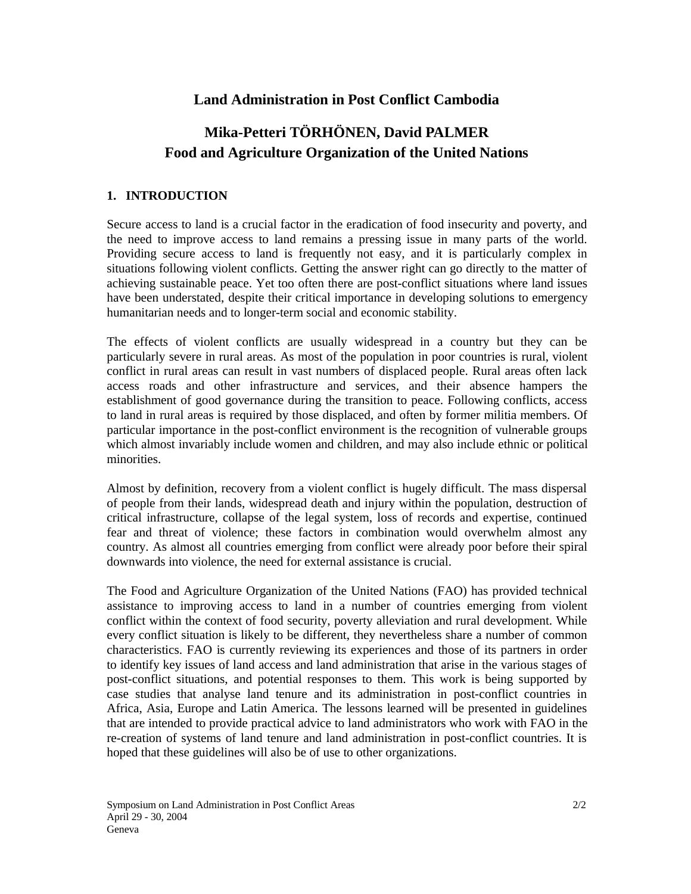# **Land Administration in Post Conflict Cambodia**

# **Mika-Petteri TÖRHÖNEN, David PALMER Food and Agriculture Organization of the United Nations**

# **1. INTRODUCTION**

Secure access to land is a crucial factor in the eradication of food insecurity and poverty, and the need to improve access to land remains a pressing issue in many parts of the world. Providing secure access to land is frequently not easy, and it is particularly complex in situations following violent conflicts. Getting the answer right can go directly to the matter of achieving sustainable peace. Yet too often there are post-conflict situations where land issues have been understated, despite their critical importance in developing solutions to emergency humanitarian needs and to longer-term social and economic stability.

The effects of violent conflicts are usually widespread in a country but they can be particularly severe in rural areas. As most of the population in poor countries is rural, violent conflict in rural areas can result in vast numbers of displaced people. Rural areas often lack access roads and other infrastructure and services, and their absence hampers the establishment of good governance during the transition to peace. Following conflicts, access to land in rural areas is required by those displaced, and often by former militia members. Of particular importance in the post-conflict environment is the recognition of vulnerable groups which almost invariably include women and children, and may also include ethnic or political minorities.

Almost by definition, recovery from a violent conflict is hugely difficult. The mass dispersal of people from their lands, widespread death and injury within the population, destruction of critical infrastructure, collapse of the legal system, loss of records and expertise, continued fear and threat of violence; these factors in combination would overwhelm almost any country. As almost all countries emerging from conflict were already poor before their spiral downwards into violence, the need for external assistance is crucial.

The Food and Agriculture Organization of the United Nations (FAO) has provided technical assistance to improving access to land in a number of countries emerging from violent conflict within the context of food security, poverty alleviation and rural development. While every conflict situation is likely to be different, they nevertheless share a number of common characteristics. FAO is currently reviewing its experiences and those of its partners in order to identify key issues of land access and land administration that arise in the various stages of post-conflict situations, and potential responses to them. This work is being supported by case studies that analyse land tenure and its administration in post-conflict countries in Africa, Asia, Europe and Latin America. The lessons learned will be presented in guidelines that are intended to provide practical advice to land administrators who work with FAO in the re-creation of systems of land tenure and land administration in post-conflict countries. It is hoped that these guidelines will also be of use to other organizations.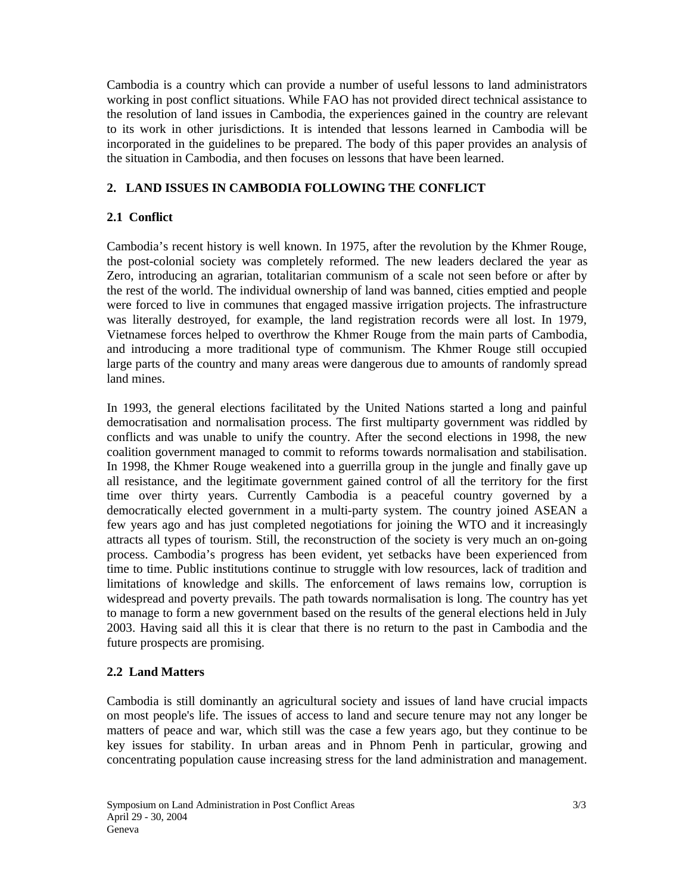Cambodia is a country which can provide a number of useful lessons to land administrators working in post conflict situations. While FAO has not provided direct technical assistance to the resolution of land issues in Cambodia, the experiences gained in the country are relevant to its work in other jurisdictions. It is intended that lessons learned in Cambodia will be incorporated in the guidelines to be prepared. The body of this paper provides an analysis of the situation in Cambodia, and then focuses on lessons that have been learned.

# **2. LAND ISSUES IN CAMBODIA FOLLOWING THE CONFLICT**

# **2.1 Conflict**

Cambodia's recent history is well known. In 1975, after the revolution by the Khmer Rouge, the post-colonial society was completely reformed. The new leaders declared the year as Zero, introducing an agrarian, totalitarian communism of a scale not seen before or after by the rest of the world. The individual ownership of land was banned, cities emptied and people were forced to live in communes that engaged massive irrigation projects. The infrastructure was literally destroyed, for example, the land registration records were all lost. In 1979, Vietnamese forces helped to overthrow the Khmer Rouge from the main parts of Cambodia, and introducing a more traditional type of communism. The Khmer Rouge still occupied large parts of the country and many areas were dangerous due to amounts of randomly spread land mines.

In 1993, the general elections facilitated by the United Nations started a long and painful democratisation and normalisation process. The first multiparty government was riddled by conflicts and was unable to unify the country. After the second elections in 1998, the new coalition government managed to commit to reforms towards normalisation and stabilisation. In 1998, the Khmer Rouge weakened into a guerrilla group in the jungle and finally gave up all resistance, and the legitimate government gained control of all the territory for the first time over thirty years. Currently Cambodia is a peaceful country governed by a democratically elected government in a multi-party system. The country joined ASEAN a few years ago and has just completed negotiations for joining the WTO and it increasingly attracts all types of tourism. Still, the reconstruction of the society is very much an on-going process. Cambodia's progress has been evident, yet setbacks have been experienced from time to time. Public institutions continue to struggle with low resources, lack of tradition and limitations of knowledge and skills. The enforcement of laws remains low, corruption is widespread and poverty prevails. The path towards normalisation is long. The country has yet to manage to form a new government based on the results of the general elections held in July 2003. Having said all this it is clear that there is no return to the past in Cambodia and the future prospects are promising.

## **2.2 Land Matters**

Cambodia is still dominantly an agricultural society and issues of land have crucial impacts on most people's life. The issues of access to land and secure tenure may not any longer be matters of peace and war, which still was the case a few years ago, but they continue to be key issues for stability. In urban areas and in Phnom Penh in particular, growing and concentrating population cause increasing stress for the land administration and management.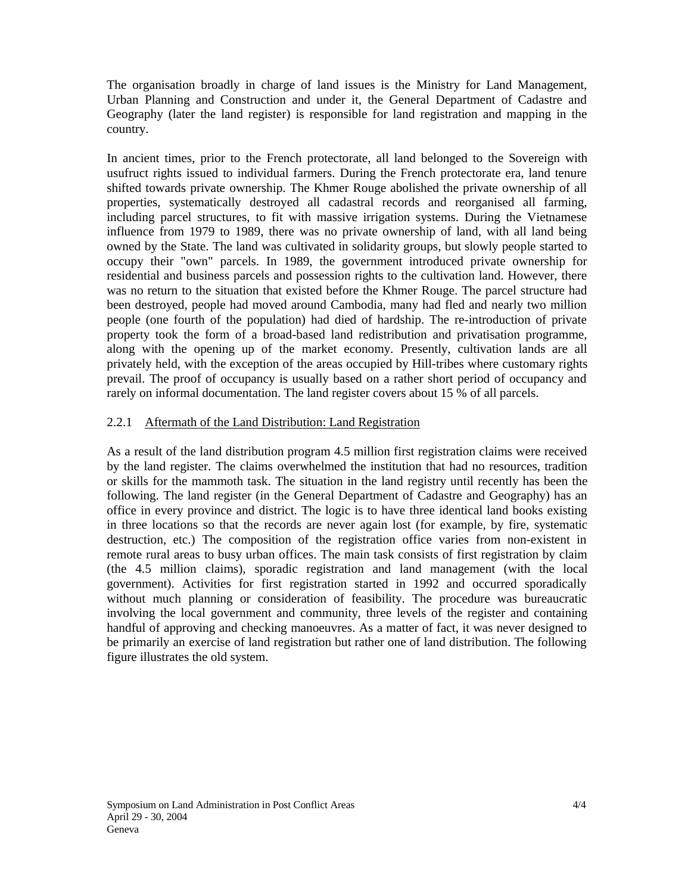The organisation broadly in charge of land issues is the Ministry for Land Management, Urban Planning and Construction and under it, the General Department of Cadastre and Geography (later the land register) is responsible for land registration and mapping in the country.

In ancient times, prior to the French protectorate, all land belonged to the Sovereign with usufruct rights issued to individual farmers. During the French protectorate era, land tenure shifted towards private ownership. The Khmer Rouge abolished the private ownership of all properties, systematically destroyed all cadastral records and reorganised all farming, including parcel structures, to fit with massive irrigation systems. During the Vietnamese influence from 1979 to 1989, there was no private ownership of land, with all land being owned by the State. The land was cultivated in solidarity groups, but slowly people started to occupy their "own" parcels. In 1989, the government introduced private ownership for residential and business parcels and possession rights to the cultivation land. However, there was no return to the situation that existed before the Khmer Rouge. The parcel structure had been destroyed, people had moved around Cambodia, many had fled and nearly two million people (one fourth of the population) had died of hardship. The re-introduction of private property took the form of a broad-based land redistribution and privatisation programme, along with the opening up of the market economy. Presently, cultivation lands are all privately held, with the exception of the areas occupied by Hill-tribes where customary rights prevail. The proof of occupancy is usually based on a rather short period of occupancy and rarely on informal documentation. The land register covers about 15 % of all parcels.

## 2.2.1 Aftermath of the Land Distribution: Land Registration

As a result of the land distribution program 4.5 million first registration claims were received by the land register. The claims overwhelmed the institution that had no resources, tradition or skills for the mammoth task. The situation in the land registry until recently has been the following. The land register (in the General Department of Cadastre and Geography) has an office in every province and district. The logic is to have three identical land books existing in three locations so that the records are never again lost (for example, by fire, systematic destruction, etc.) The composition of the registration office varies from non-existent in remote rural areas to busy urban offices. The main task consists of first registration by claim (the 4.5 million claims), sporadic registration and land management (with the local government). Activities for first registration started in 1992 and occurred sporadically without much planning or consideration of feasibility. The procedure was bureaucratic involving the local government and community, three levels of the register and containing handful of approving and checking manoeuvres. As a matter of fact, it was never designed to be primarily an exercise of land registration but rather one of land distribution. The following figure illustrates the old system.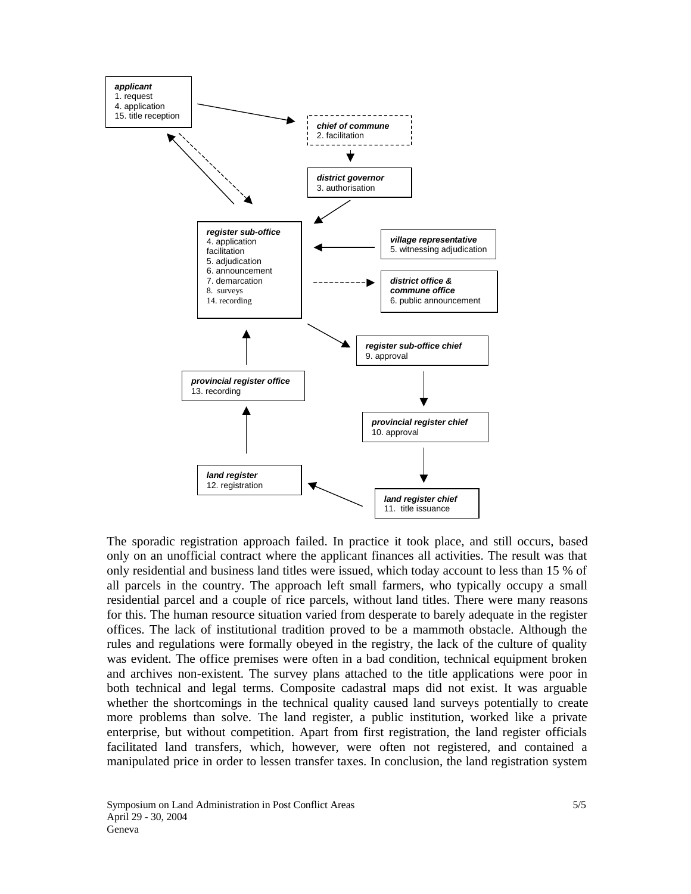

The sporadic registration approach failed. In practice it took place, and still occurs, based only on an unofficial contract where the applicant finances all activities. The result was that only residential and business land titles were issued, which today account to less than 15 % of all parcels in the country. The approach left small farmers, who typically occupy a small residential parcel and a couple of rice parcels, without land titles. There were many reasons for this. The human resource situation varied from desperate to barely adequate in the register offices. The lack of institutional tradition proved to be a mammoth obstacle. Although the rules and regulations were formally obeyed in the registry, the lack of the culture of quality was evident. The office premises were often in a bad condition, technical equipment broken and archives non-existent. The survey plans attached to the title applications were poor in both technical and legal terms. Composite cadastral maps did not exist. It was arguable whether the shortcomings in the technical quality caused land surveys potentially to create more problems than solve. The land register, a public institution, worked like a private enterprise, but without competition. Apart from first registration, the land register officials facilitated land transfers, which, however, were often not registered, and contained a manipulated price in order to lessen transfer taxes. In conclusion, the land registration system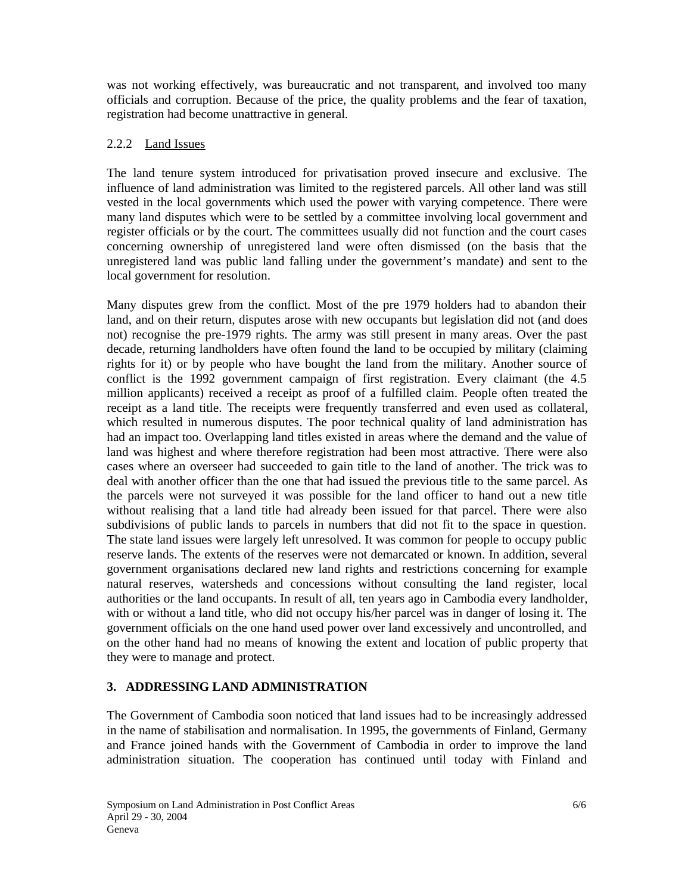was not working effectively, was bureaucratic and not transparent, and involved too many officials and corruption. Because of the price, the quality problems and the fear of taxation, registration had become unattractive in general.

## 2.2.2 Land Issues

The land tenure system introduced for privatisation proved insecure and exclusive. The influence of land administration was limited to the registered parcels. All other land was still vested in the local governments which used the power with varying competence. There were many land disputes which were to be settled by a committee involving local government and register officials or by the court. The committees usually did not function and the court cases concerning ownership of unregistered land were often dismissed (on the basis that the unregistered land was public land falling under the government's mandate) and sent to the local government for resolution.

Many disputes grew from the conflict. Most of the pre 1979 holders had to abandon their land, and on their return, disputes arose with new occupants but legislation did not (and does not) recognise the pre-1979 rights. The army was still present in many areas. Over the past decade, returning landholders have often found the land to be occupied by military (claiming rights for it) or by people who have bought the land from the military. Another source of conflict is the 1992 government campaign of first registration. Every claimant (the 4.5 million applicants) received a receipt as proof of a fulfilled claim. People often treated the receipt as a land title. The receipts were frequently transferred and even used as collateral, which resulted in numerous disputes. The poor technical quality of land administration has had an impact too. Overlapping land titles existed in areas where the demand and the value of land was highest and where therefore registration had been most attractive. There were also cases where an overseer had succeeded to gain title to the land of another. The trick was to deal with another officer than the one that had issued the previous title to the same parcel. As the parcels were not surveyed it was possible for the land officer to hand out a new title without realising that a land title had already been issued for that parcel. There were also subdivisions of public lands to parcels in numbers that did not fit to the space in question. The state land issues were largely left unresolved. It was common for people to occupy public reserve lands. The extents of the reserves were not demarcated or known. In addition, several government organisations declared new land rights and restrictions concerning for example natural reserves, watersheds and concessions without consulting the land register, local authorities or the land occupants. In result of all, ten years ago in Cambodia every landholder, with or without a land title, who did not occupy his/her parcel was in danger of losing it. The government officials on the one hand used power over land excessively and uncontrolled, and on the other hand had no means of knowing the extent and location of public property that they were to manage and protect.

## **3. ADDRESSING LAND ADMINISTRATION**

The Government of Cambodia soon noticed that land issues had to be increasingly addressed in the name of stabilisation and normalisation. In 1995, the governments of Finland, Germany and France joined hands with the Government of Cambodia in order to improve the land administration situation. The cooperation has continued until today with Finland and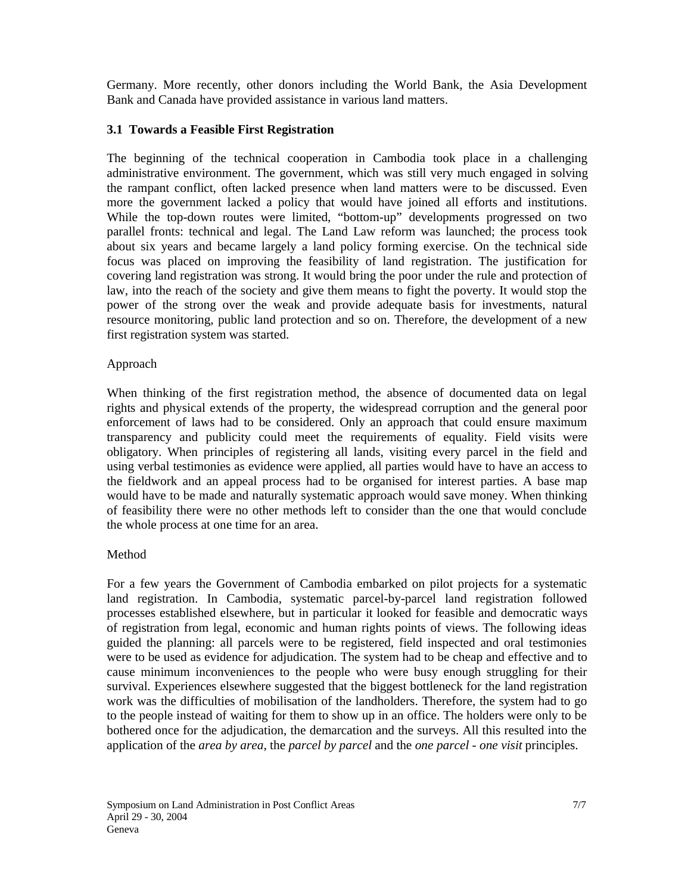Germany. More recently, other donors including the World Bank, the Asia Development Bank and Canada have provided assistance in various land matters.

### **3.1 Towards a Feasible First Registration**

The beginning of the technical cooperation in Cambodia took place in a challenging administrative environment. The government, which was still very much engaged in solving the rampant conflict, often lacked presence when land matters were to be discussed. Even more the government lacked a policy that would have joined all efforts and institutions. While the top-down routes were limited, "bottom-up" developments progressed on two parallel fronts: technical and legal. The Land Law reform was launched; the process took about six years and became largely a land policy forming exercise. On the technical side focus was placed on improving the feasibility of land registration. The justification for covering land registration was strong. It would bring the poor under the rule and protection of law, into the reach of the society and give them means to fight the poverty. It would stop the power of the strong over the weak and provide adequate basis for investments, natural resource monitoring, public land protection and so on. Therefore, the development of a new first registration system was started.

#### Approach

When thinking of the first registration method, the absence of documented data on legal rights and physical extends of the property, the widespread corruption and the general poor enforcement of laws had to be considered. Only an approach that could ensure maximum transparency and publicity could meet the requirements of equality. Field visits were obligatory. When principles of registering all lands, visiting every parcel in the field and using verbal testimonies as evidence were applied, all parties would have to have an access to the fieldwork and an appeal process had to be organised for interest parties. A base map would have to be made and naturally systematic approach would save money. When thinking of feasibility there were no other methods left to consider than the one that would conclude the whole process at one time for an area.

#### Method

For a few years the Government of Cambodia embarked on pilot projects for a systematic land registration. In Cambodia, systematic parcel-by-parcel land registration followed processes established elsewhere, but in particular it looked for feasible and democratic ways of registration from legal, economic and human rights points of views. The following ideas guided the planning: all parcels were to be registered, field inspected and oral testimonies were to be used as evidence for adjudication. The system had to be cheap and effective and to cause minimum inconveniences to the people who were busy enough struggling for their survival. Experiences elsewhere suggested that the biggest bottleneck for the land registration work was the difficulties of mobilisation of the landholders. Therefore, the system had to go to the people instead of waiting for them to show up in an office. The holders were only to be bothered once for the adjudication, the demarcation and the surveys. All this resulted into the application of the *area by area*, the *parcel by parcel* and the *one parcel - one visit* principles.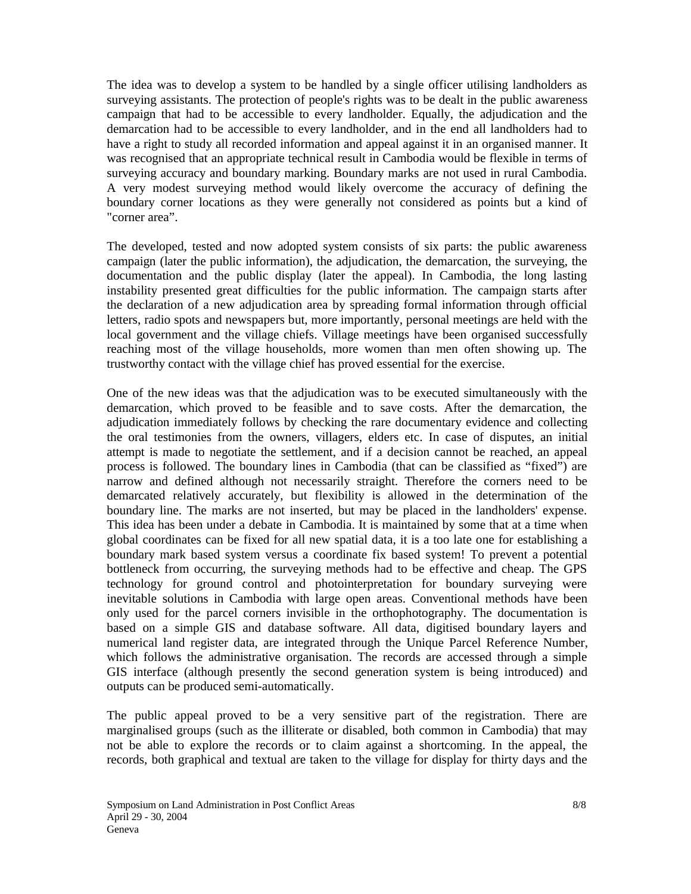The idea was to develop a system to be handled by a single officer utilising landholders as surveying assistants. The protection of people's rights was to be dealt in the public awareness campaign that had to be accessible to every landholder. Equally, the adjudication and the demarcation had to be accessible to every landholder, and in the end all landholders had to have a right to study all recorded information and appeal against it in an organised manner. It was recognised that an appropriate technical result in Cambodia would be flexible in terms of surveying accuracy and boundary marking. Boundary marks are not used in rural Cambodia. A very modest surveying method would likely overcome the accuracy of defining the boundary corner locations as they were generally not considered as points but a kind of "corner area".

The developed, tested and now adopted system consists of six parts: the public awareness campaign (later the public information), the adjudication, the demarcation, the surveying, the documentation and the public display (later the appeal). In Cambodia, the long lasting instability presented great difficulties for the public information. The campaign starts after the declaration of a new adjudication area by spreading formal information through official letters, radio spots and newspapers but, more importantly, personal meetings are held with the local government and the village chiefs. Village meetings have been organised successfully reaching most of the village households, more women than men often showing up. The trustworthy contact with the village chief has proved essential for the exercise.

One of the new ideas was that the adjudication was to be executed simultaneously with the demarcation, which proved to be feasible and to save costs. After the demarcation, the adjudication immediately follows by checking the rare documentary evidence and collecting the oral testimonies from the owners, villagers, elders etc. In case of disputes, an initial attempt is made to negotiate the settlement, and if a decision cannot be reached, an appeal process is followed. The boundary lines in Cambodia (that can be classified as "fixed") are narrow and defined although not necessarily straight. Therefore the corners need to be demarcated relatively accurately, but flexibility is allowed in the determination of the boundary line. The marks are not inserted, but may be placed in the landholders' expense. This idea has been under a debate in Cambodia. It is maintained by some that at a time when global coordinates can be fixed for all new spatial data, it is a too late one for establishing a boundary mark based system versus a coordinate fix based system! To prevent a potential bottleneck from occurring, the surveying methods had to be effective and cheap. The GPS technology for ground control and photointerpretation for boundary surveying were inevitable solutions in Cambodia with large open areas. Conventional methods have been only used for the parcel corners invisible in the orthophotography. The documentation is based on a simple GIS and database software. All data, digitised boundary layers and numerical land register data, are integrated through the Unique Parcel Reference Number, which follows the administrative organisation. The records are accessed through a simple GIS interface (although presently the second generation system is being introduced) and outputs can be produced semi-automatically.

The public appeal proved to be a very sensitive part of the registration. There are marginalised groups (such as the illiterate or disabled, both common in Cambodia) that may not be able to explore the records or to claim against a shortcoming. In the appeal, the records, both graphical and textual are taken to the village for display for thirty days and the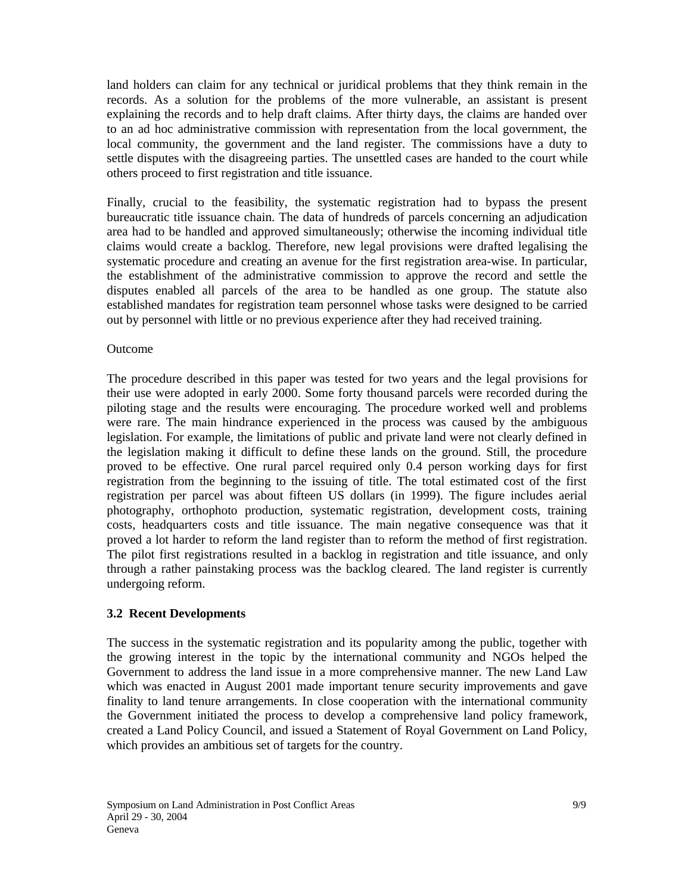land holders can claim for any technical or juridical problems that they think remain in the records. As a solution for the problems of the more vulnerable, an assistant is present explaining the records and to help draft claims. After thirty days, the claims are handed over to an ad hoc administrative commission with representation from the local government, the local community, the government and the land register. The commissions have a duty to settle disputes with the disagreeing parties. The unsettled cases are handed to the court while others proceed to first registration and title issuance.

Finally, crucial to the feasibility, the systematic registration had to bypass the present bureaucratic title issuance chain. The data of hundreds of parcels concerning an adjudication area had to be handled and approved simultaneously; otherwise the incoming individual title claims would create a backlog. Therefore, new legal provisions were drafted legalising the systematic procedure and creating an avenue for the first registration area-wise. In particular, the establishment of the administrative commission to approve the record and settle the disputes enabled all parcels of the area to be handled as one group. The statute also established mandates for registration team personnel whose tasks were designed to be carried out by personnel with little or no previous experience after they had received training.

#### Outcome

The procedure described in this paper was tested for two years and the legal provisions for their use were adopted in early 2000. Some forty thousand parcels were recorded during the piloting stage and the results were encouraging. The procedure worked well and problems were rare. The main hindrance experienced in the process was caused by the ambiguous legislation. For example, the limitations of public and private land were not clearly defined in the legislation making it difficult to define these lands on the ground. Still, the procedure proved to be effective. One rural parcel required only 0.4 person working days for first registration from the beginning to the issuing of title. The total estimated cost of the first registration per parcel was about fifteen US dollars (in 1999). The figure includes aerial photography, orthophoto production, systematic registration, development costs, training costs, headquarters costs and title issuance. The main negative consequence was that it proved a lot harder to reform the land register than to reform the method of first registration. The pilot first registrations resulted in a backlog in registration and title issuance, and only through a rather painstaking process was the backlog cleared. The land register is currently undergoing reform.

#### **3.2 Recent Developments**

The success in the systematic registration and its popularity among the public, together with the growing interest in the topic by the international community and NGOs helped the Government to address the land issue in a more comprehensive manner. The new Land Law which was enacted in August 2001 made important tenure security improvements and gave finality to land tenure arrangements. In close cooperation with the international community the Government initiated the process to develop a comprehensive land policy framework, created a Land Policy Council, and issued a Statement of Royal Government on Land Policy, which provides an ambitious set of targets for the country.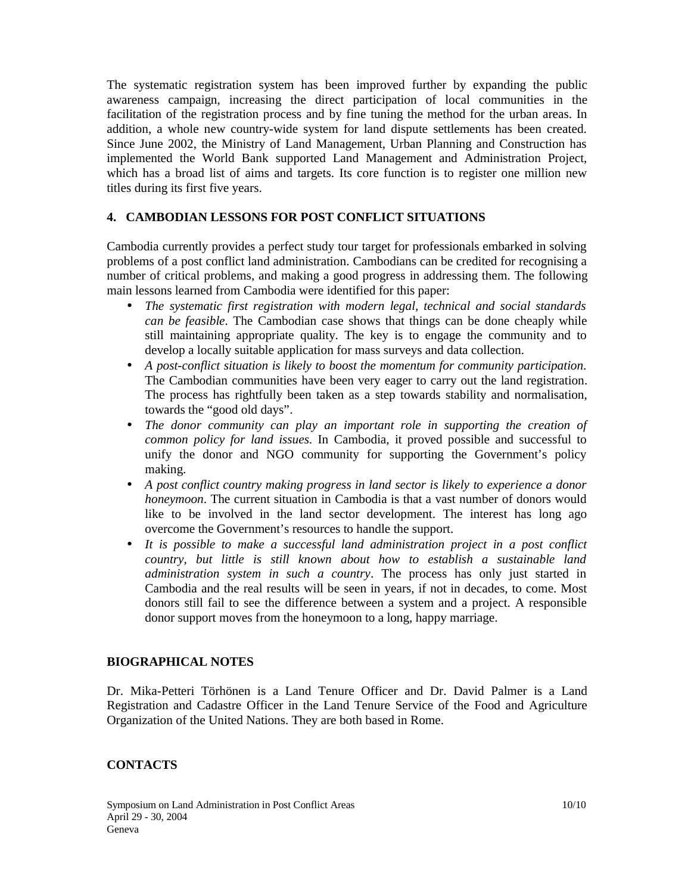The systematic registration system has been improved further by expanding the public awareness campaign, increasing the direct participation of local communities in the facilitation of the registration process and by fine tuning the method for the urban areas. In addition, a whole new country-wide system for land dispute settlements has been created. Since June 2002, the Ministry of Land Management, Urban Planning and Construction has implemented the World Bank supported Land Management and Administration Project, which has a broad list of aims and targets. Its core function is to register one million new titles during its first five years.

## **4. CAMBODIAN LESSONS FOR POST CONFLICT SITUATIONS**

Cambodia currently provides a perfect study tour target for professionals embarked in solving problems of a post conflict land administration. Cambodians can be credited for recognising a number of critical problems, and making a good progress in addressing them. The following main lessons learned from Cambodia were identified for this paper:

- *The systematic first registration with modern legal, technical and social standards can be feasible*. The Cambodian case shows that things can be done cheaply while still maintaining appropriate quality. The key is to engage the community and to develop a locally suitable application for mass surveys and data collection.
- *A post-conflict situation is likely to boost the momentum for community participation*. The Cambodian communities have been very eager to carry out the land registration. The process has rightfully been taken as a step towards stability and normalisation, towards the "good old days".
- *The donor community can play an important role in supporting the creation of common policy for land issues*. In Cambodia, it proved possible and successful to unify the donor and NGO community for supporting the Government's policy making.
- *A post conflict country making progress in land sector is likely to experience a donor honeymoon*. The current situation in Cambodia is that a vast number of donors would like to be involved in the land sector development. The interest has long ago overcome the Government's resources to handle the support.
- *It is possible to make a successful land administration project in a post conflict country, but little is still known about how to establish a sustainable land administration system in such a country*. The process has only just started in Cambodia and the real results will be seen in years, if not in decades, to come. Most donors still fail to see the difference between a system and a project. A responsible donor support moves from the honeymoon to a long, happy marriage.

#### **BIOGRAPHICAL NOTES**

Dr. Mika-Petteri Törhönen is a Land Tenure Officer and Dr. David Palmer is a Land Registration and Cadastre Officer in the Land Tenure Service of the Food and Agriculture Organization of the United Nations. They are both based in Rome.

### **CONTACTS**